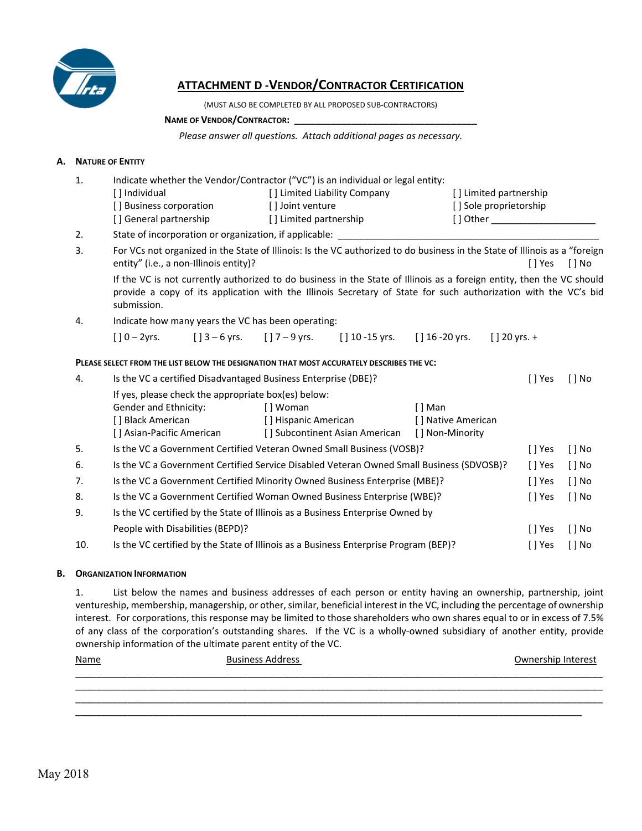

# **ATTACHMENT D ‐VENDOR/CONTRACTOR CERTIFICATION**

(MUST ALSO BE COMPLETED BY ALL PROPOSED SUB‐CONTRACTORS)

#### NAME OF VENDOR/CONTRACTOR:

*Please answer all questions. Attach additional pages as necessary.* 

## **A. NATURE OF ENTITY**

| 1.  | Indicate whether the Vendor/Contractor ("VC") is an individual or legal entity:          |  |                                                                |                                                                                                                                                                                                                                          |                    |                           |           |                       |
|-----|------------------------------------------------------------------------------------------|--|----------------------------------------------------------------|------------------------------------------------------------------------------------------------------------------------------------------------------------------------------------------------------------------------------------------|--------------------|---------------------------|-----------|-----------------------|
|     | [] Individual                                                                            |  | [] Limited Liability Company                                   |                                                                                                                                                                                                                                          |                    | [] Limited partnership    |           |                       |
|     | [] Business corporation                                                                  |  | [] Joint venture                                               |                                                                                                                                                                                                                                          |                    | [] Sole proprietorship    |           |                       |
|     | [] General partnership                                                                   |  | [] Limited partnership                                         |                                                                                                                                                                                                                                          |                    |                           |           |                       |
| 2.  |                                                                                          |  |                                                                |                                                                                                                                                                                                                                          |                    |                           |           |                       |
| 3.  | entity" (i.e., a non-Illinois entity)?                                                   |  |                                                                | For VCs not organized in the State of Illinois: Is the VC authorized to do business in the State of Illinois as a "foreign                                                                                                               |                    |                           | [ ] Yes   | $[]$ No               |
|     | submission.                                                                              |  |                                                                | If the VC is not currently authorized to do business in the State of Illinois as a foreign entity, then the VC should<br>provide a copy of its application with the Illinois Secretary of State for such authorization with the VC's bid |                    |                           |           |                       |
| 4.  |                                                                                          |  | Indicate how many years the VC has been operating:             |                                                                                                                                                                                                                                          |                    |                           |           |                       |
|     | $[$ ] 0 – 2yrs.                                                                          |  |                                                                | [] $3-6$ yrs. [] $7-9$ yrs. [] $10-15$ yrs. [] $16-20$ yrs.                                                                                                                                                                              |                    | $\left[\right]$ 20 yrs. + |           |                       |
|     | PLEASE SELECT FROM THE LIST BELOW THE DESIGNATION THAT MOST ACCURATELY DESCRIBES THE VC: |  |                                                                |                                                                                                                                                                                                                                          |                    |                           |           |                       |
| 4.  |                                                                                          |  | Is the VC a certified Disadvantaged Business Enterprise (DBE)? |                                                                                                                                                                                                                                          |                    |                           | [ ] Yes   | $\lceil \, \rceil$ No |
|     |                                                                                          |  | If yes, please check the appropriate box(es) below:            |                                                                                                                                                                                                                                          |                    |                           |           |                       |
|     | Gender and Ethnicity:                                                                    |  | [] Woman                                                       |                                                                                                                                                                                                                                          | [ ] Man            |                           |           |                       |
|     | [ ] Black American                                                                       |  |                                                                | [ ] Hispanic American                                                                                                                                                                                                                    | [] Native American |                           |           |                       |
|     |                                                                                          |  |                                                                | [] Asian-Pacific American [] Subcontinent Asian American                                                                                                                                                                                 | [] Non-Minority    |                           |           |                       |
| 5.  |                                                                                          |  |                                                                | Is the VC a Government Certified Veteran Owned Small Business (VOSB)?                                                                                                                                                                    |                    |                           | [ ] Yes   | $[ ]$ No              |
| 6.  |                                                                                          |  |                                                                | Is the VC a Government Certified Service Disabled Veteran Owned Small Business (SDVOSB)?                                                                                                                                                 |                    |                           | $[ ]$ Yes | $[]$ No               |
| 7.  |                                                                                          |  |                                                                | Is the VC a Government Certified Minority Owned Business Enterprise (MBE)?                                                                                                                                                               |                    |                           | [] Yes    | $[]$ No               |
| 8.  |                                                                                          |  |                                                                | Is the VC a Government Certified Woman Owned Business Enterprise (WBE)?                                                                                                                                                                  |                    |                           | $[ ]$ Yes | $[ ]$ No              |
| 9.  |                                                                                          |  |                                                                | Is the VC certified by the State of Illinois as a Business Enterprise Owned by                                                                                                                                                           |                    |                           |           |                       |
|     | People with Disabilities (BEPD)?                                                         |  |                                                                |                                                                                                                                                                                                                                          |                    |                           | $[ ]$ Yes | $[$ $]$ No            |
| 10. |                                                                                          |  |                                                                | Is the VC certified by the State of Illinois as a Business Enterprise Program (BEP)?                                                                                                                                                     |                    |                           | $[]$ Yes  | $[ ]$ No              |
|     |                                                                                          |  |                                                                |                                                                                                                                                                                                                                          |                    |                           |           |                       |

### **B. ORGANIZATION INFORMATION**

1. List below the names and business addresses of each person or entity having an ownership, partnership, joint ventureship, membership, managership, or other, similar, beneficial interest in the VC, including the percentage of ownership interest. For corporations, this response may be limited to those shareholders who own shares equal to or in excess of 7.5% of any class of the corporation's outstanding shares. If the VC is a wholly-owned subsidiary of another entity, provide ownership information of the ultimate parent entity of the VC.

| <u>Name</u> | <b>Business Address</b> | Ownership Interest |
|-------------|-------------------------|--------------------|
|             |                         |                    |
|             |                         |                    |

 $\overline{a}$  , and the set of the set of the set of the set of the set of the set of the set of the set of the set of the set of the set of the set of the set of the set of the set of the set of the set of the set of the set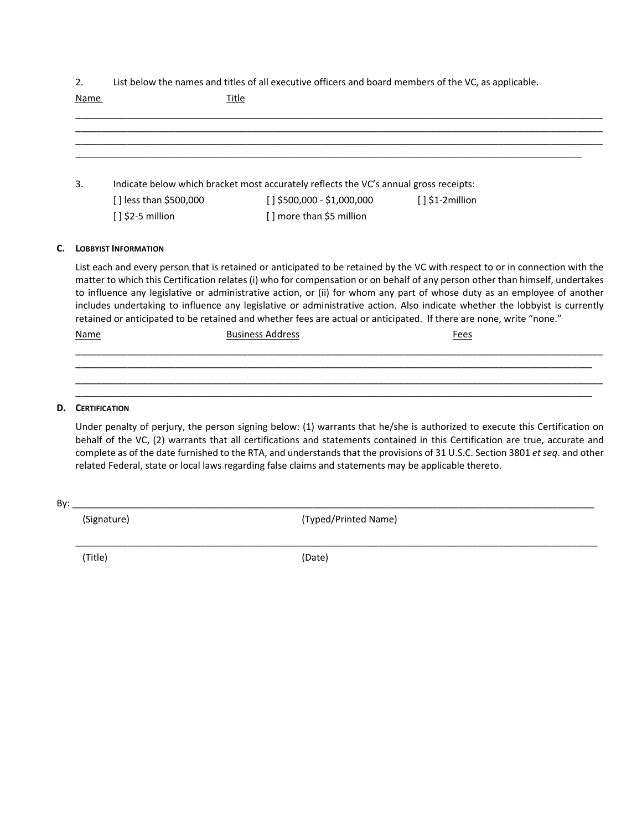2. List below the names and titles of all executive officers and board members of the VC, as applicable.

| 3. |                        | Indicate below which bracket most accurately reflects the VC's annual gross receipts: |                    |  |
|----|------------------------|---------------------------------------------------------------------------------------|--------------------|--|
|    | [] less than \$500,000 | $[ ]$ \$500,000 - \$1,000,000                                                         | $[ ] $1$-2million$ |  |
|    | $[ ]$ \$2-5 million    | [] more than \$5 million                                                              |                    |  |

List each and every person that is retained or anticipated to be retained by the VC with respect to or in connection with the matter to which this Certification relates (i) who for compensation or on behalf of any person other than himself, undertakes to influence any legislative or administrative action, or (ii) for whom any part of whose duty as an employee of another includes undertaking to influence any legislative or administrative action. Also indicate whether the lobbyist is currently retained or anticipated to be retained and whether fees are actual or anticipated. If there are none, write "none."

| <u>Name</u> | <b>Rucinocu</b><br>ור | Fees |
|-------------|-----------------------|------|
|             |                       |      |
|             |                       |      |

\_\_\_\_\_\_\_\_\_\_\_\_\_\_\_\_\_\_\_\_\_\_\_\_\_\_\_\_\_\_\_\_\_\_\_\_\_\_\_\_\_\_\_\_\_\_\_\_\_\_\_\_\_\_\_\_\_\_\_\_\_\_\_\_\_\_\_\_\_\_\_\_\_\_\_\_\_\_\_\_\_\_\_\_\_\_\_\_\_\_\_\_\_\_\_\_\_\_\_\_\_ \_\_\_\_\_\_\_\_\_\_\_\_\_\_\_\_\_\_\_\_\_\_\_\_\_\_\_\_\_\_\_\_\_\_\_\_\_\_\_\_\_\_\_\_\_\_\_\_\_\_\_\_\_\_\_\_\_\_\_\_\_\_\_\_\_\_\_\_\_\_\_\_\_\_\_\_\_\_\_\_\_\_\_\_\_\_\_\_\_\_\_\_\_\_\_\_\_\_\_

### **D. CERTIFICATION**

Under penalty of perjury, the person signing below: (1) warrants that he/she is authorized to execute this Certification on behalf of the VC, (2) warrants that all certifications and statements contained in this Certification are true, accurate and complete as of the date furnished to the RTA, and understands that the provisions of 31 U.S.C. Section 3801 *et seq*. and other related Federal, state or local laws regarding false claims and statements may be applicable thereto.

| Rv |  |
|----|--|
|    |  |

(Signature) (Typed/Printed Name)

 $\_$  ,  $\_$  ,  $\_$  ,  $\_$  ,  $\_$  ,  $\_$  ,  $\_$  ,  $\_$  ,  $\_$  ,  $\_$  ,  $\_$  ,  $\_$  ,  $\_$  ,  $\_$  ,  $\_$  ,  $\_$  ,  $\_$  ,  $\_$  ,  $\_$  ,  $\_$  ,  $\_$  ,  $\_$  ,  $\_$  ,  $\_$  ,  $\_$  ,  $\_$  ,  $\_$  ,  $\_$  ,  $\_$  ,  $\_$  ,  $\_$  ,  $\_$  ,  $\_$  ,  $\_$  ,  $\_$  ,  $\_$  ,  $\_$  , (Title) (Date)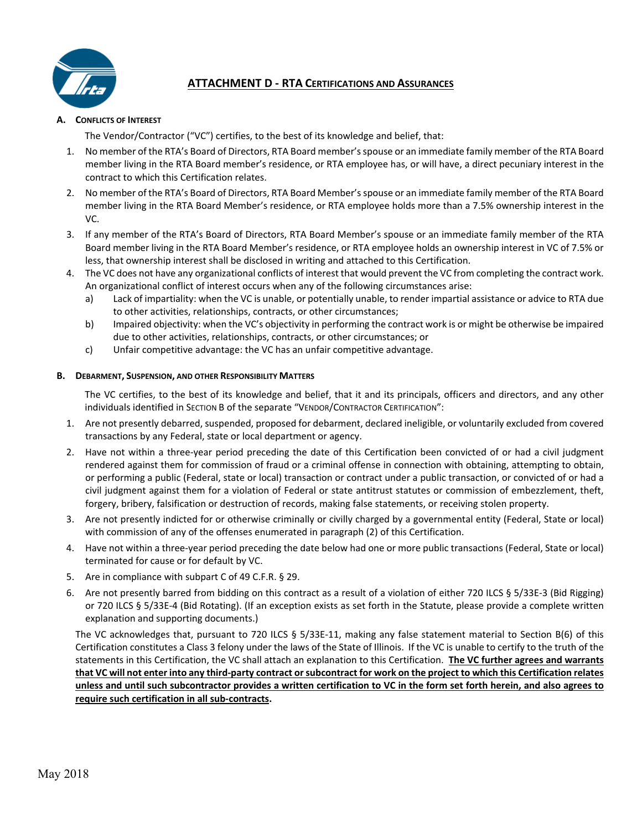

# **ATTACHMENT D ‐ RTA CERTIFICATIONS AND ASSURANCES**

# **A. CONFLICTS OF INTEREST**

The Vendor/Contractor ("VC") certifies, to the best of its knowledge and belief, that:

- 1. No member of the RTA's Board of Directors, RTA Board member's spouse or an immediate family member of the RTA Board member living in the RTA Board member's residence, or RTA employee has, or will have, a direct pecuniary interest in the contract to which this Certification relates.
- 2. No member of the RTA's Board of Directors, RTA Board Member's spouse or an immediate family member of the RTA Board member living in the RTA Board Member's residence, or RTA employee holds more than a 7.5% ownership interest in the VC.
- 3. If any member of the RTA's Board of Directors, RTA Board Member's spouse or an immediate family member of the RTA Board member living in the RTA Board Member's residence, or RTA employee holds an ownership interest in VC of 7.5% or less, that ownership interest shall be disclosed in writing and attached to this Certification.
- 4. The VC does not have any organizational conflicts of interest that would prevent the VC from completing the contract work. An organizational conflict of interest occurs when any of the following circumstances arise:
	- a) Lack of impartiality: when the VC is unable, or potentially unable, to render impartial assistance or advice to RTA due to other activities, relationships, contracts, or other circumstances;
	- b) Impaired objectivity: when the VC's objectivity in performing the contract work is or might be otherwise be impaired due to other activities, relationships, contracts, or other circumstances; or
	- c) Unfair competitive advantage: the VC has an unfair competitive advantage.

### **B. DEBARMENT, SUSPENSION, AND OTHER RESPONSIBILITY MATTERS**

The VC certifies, to the best of its knowledge and belief, that it and its principals, officers and directors, and any other individuals identified in SECTION B of the separate "VENDOR/CONTRACTOR CERTIFICATION":

- 1. Are not presently debarred, suspended, proposed for debarment, declared ineligible, or voluntarily excluded from covered transactions by any Federal, state or local department or agency.
- 2. Have not within a three-year period preceding the date of this Certification been convicted of or had a civil judgment rendered against them for commission of fraud or a criminal offense in connection with obtaining, attempting to obtain, or performing a public (Federal, state or local) transaction or contract under a public transaction, or convicted of or had a civil judgment against them for a violation of Federal or state antitrust statutes or commission of embezzlement, theft, forgery, bribery, falsification or destruction of records, making false statements, or receiving stolen property.
- 3. Are not presently indicted for or otherwise criminally or civilly charged by a governmental entity (Federal, State or local) with commission of any of the offenses enumerated in paragraph (2) of this Certification.
- 4. Have not within a three‐year period preceding the date below had one or more public transactions (Federal, State or local) terminated for cause or for default by VC.
- 5. Are in compliance with subpart C of 49 C.F.R. § 29.
- 6. Are not presently barred from bidding on this contract as a result of a violation of either 720 ILCS § 5/33E‐3 (Bid Rigging) or 720 ILCS § 5/33E‐4 (Bid Rotating). (If an exception exists as set forth in the Statute, please provide a complete written explanation and supporting documents.)

The VC acknowledges that, pursuant to 720 ILCS § 5/33E-11, making any false statement material to Section B(6) of this Certification constitutes a Class 3 felony under the laws of the State of Illinois. If the VC is unable to certify to the truth of the statements in this Certification, the VC shall attach an explanation to this Certification. **The VC further agrees and warrants that VC will not enter into any third‐party contract or subcontract for work on the project to which this Certification relates unless and until such subcontractor provides a written certification to VC in the form set forth herein, and also agrees to require such certification in all sub‐contracts.**